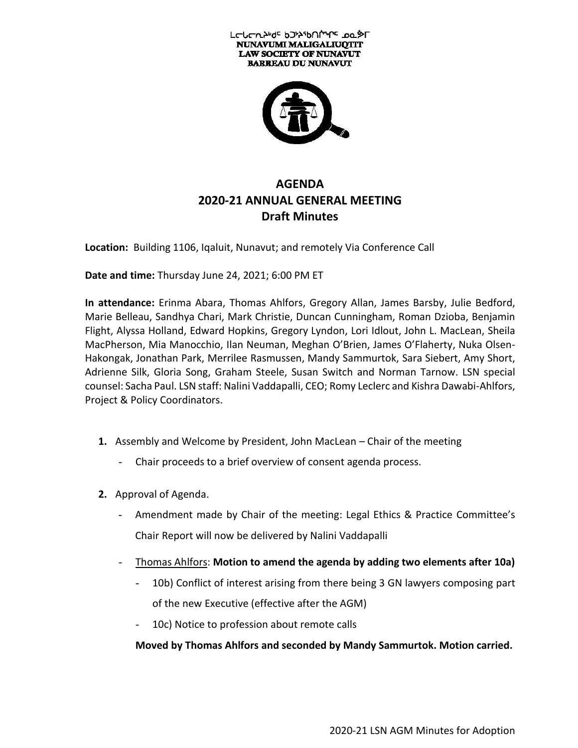



# **AGENDA 2020-21 ANNUAL GENERAL MEETING Draft Minutes**

**Location:** Building 1106, Iqaluit, Nunavut; and remotely Via Conference Call

**Date and time:** Thursday June 24, 2021; 6:00 PM ET

**In attendance:** Erinma Abara, Thomas Ahlfors, Gregory Allan, James Barsby, Julie Bedford, Marie Belleau, Sandhya Chari, Mark Christie, Duncan Cunningham, Roman Dzioba, Benjamin Flight, Alyssa Holland, Edward Hopkins, Gregory Lyndon, Lori Idlout, John L. MacLean, Sheila MacPherson, Mia Manocchio, Ilan Neuman, Meghan O'Brien, James O'Flaherty, Nuka Olsen-Hakongak, Jonathan Park, Merrilee Rasmussen, Mandy Sammurtok, Sara Siebert, Amy Short, Adrienne Silk, Gloria Song, Graham Steele, Susan Switch and Norman Tarnow. LSN special counsel: Sacha Paul. LSN staff: Nalini Vaddapalli, CEO; Romy Leclerc and Kishra Dawabi-Ahlfors, Project & Policy Coordinators.

- **1.** Assembly and Welcome by President, John MacLean Chair of the meeting
	- Chair proceeds to a brief overview of consent agenda process.
- **2.** Approval of Agenda.
	- Amendment made by Chair of the meeting: Legal Ethics & Practice Committee's Chair Report will now be delivered by Nalini Vaddapalli
	- Thomas Ahlfors: **Motion to amend the agenda by adding two elements after 10a)**
		- 10b) Conflict of interest arising from there being 3 GN lawyers composing part of the new Executive (effective after the AGM)
		- 10c) Notice to profession about remote calls

**Moved by Thomas Ahlfors and seconded by Mandy Sammurtok. Motion carried.**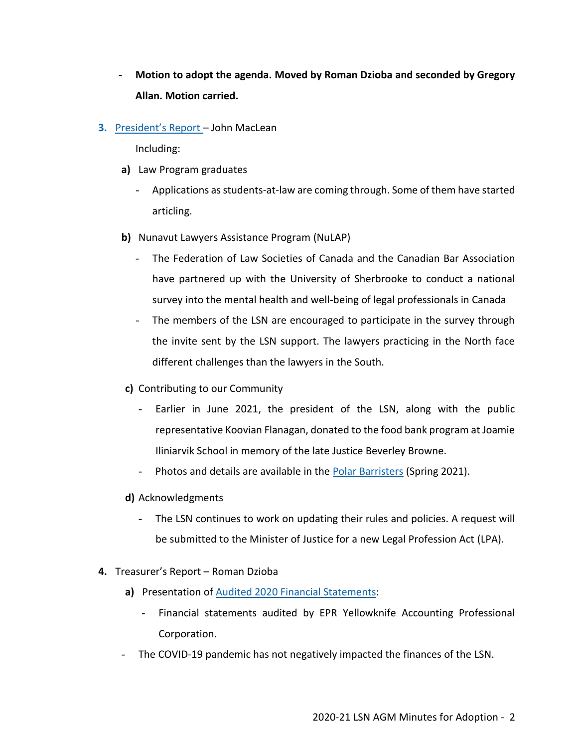- **Motion to adopt the agenda. Moved by Roman Dzioba and seconded by Gregory Allan. Motion carried.**
- **3.** [President's Report](https://www.lawsociety.nu.ca/sites/default/files/AGM/LSN%20AGM%202020-21%20President) John MacLean

Including:

- **a)** Law Program graduates
	- Applications as students-at-law are coming through. Some of them have started articling.
- **b)** Nunavut Lawyers Assistance Program (NuLAP)
	- The Federation of Law Societies of Canada and the Canadian Bar Association have partnered up with the University of Sherbrooke to conduct a national survey into the mental health and well-being of legal professionals in Canada
	- The members of the LSN are encouraged to participate in the survey through the invite sent by the LSN support. The lawyers practicing in the North face different challenges than the lawyers in the South.
- **c)** Contributing to our Community
	- Earlier in June 2021, the president of the LSN, along with the public representative Koovian Flanagan, donated to the food bank program at Joamie Iliniarvik School in memory of the late Justice Beverley Browne.
	- Photos and details are available in the **Polar Barristers** (Spring 2021).
- **d)** Acknowledgments
	- The LSN continues to work on updating their rules and policies. A request will be submitted to the Minister of Justice for a new Legal Profession Act (LPA).
- **4.** Treasurer's Report Roman Dzioba
	- **a)** Presentation of Audited 2020 [Financial Statements:](https://www.lawsociety.nu.ca/sites/default/files/AGM/NLF%20FS%202020%20Adopted%20June%2024%202021%20SIgned.pdf)
		- Financial statements audited by EPR Yellowknife Accounting Professional Corporation.
	- The COVID-19 pandemic has not negatively impacted the finances of the LSN.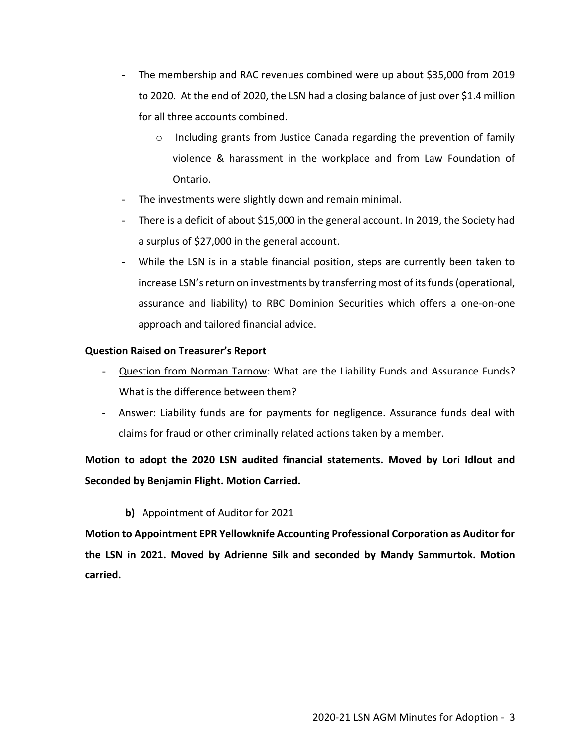- The membership and RAC revenues combined were up about \$35,000 from 2019 to 2020. At the end of 2020, the LSN had a closing balance of just over \$1.4 million for all three accounts combined.
	- $\circ$  Including grants from Justice Canada regarding the prevention of family violence & harassment in the workplace and from Law Foundation of Ontario.
- The investments were slightly down and remain minimal.
- There is a deficit of about \$15,000 in the general account. In 2019, the Society had a surplus of \$27,000 in the general account.
- While the LSN is in a stable financial position, steps are currently been taken to increase LSN's return on investments by transferring most of its funds (operational, assurance and liability) to RBC Dominion Securities which offers a one-on-one approach and tailored financial advice.

## **Question Raised on Treasurer's Report**

- Question from Norman Tarnow: What are the Liability Funds and Assurance Funds? What is the difference between them?
- Answer: Liability funds are for payments for negligence. Assurance funds deal with claims for fraud or other criminally related actions taken by a member.

**Motion to adopt the 2020 LSN audited financial statements. Moved by Lori Idlout and Seconded by Benjamin Flight. Motion Carried.**

### **b)** Appointment of Auditor for 2021

**Motion to Appointment EPR Yellowknife Accounting Professional Corporation as Auditor for the LSN in 2021. Moved by Adrienne Silk and seconded by Mandy Sammurtok. Motion carried.**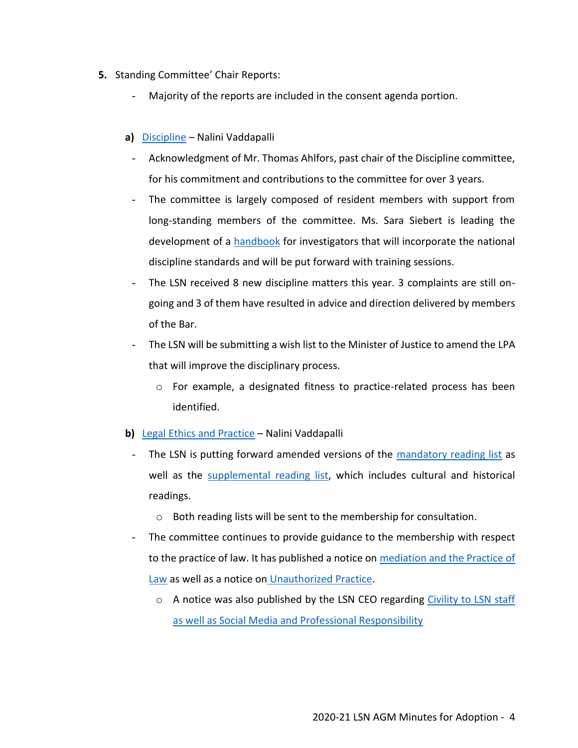- **5.** Standing Committee' Chair Reports:
	- Majority of the reports are included in the consent agenda portion.
	- **a)** [Discipline](https://www.lawsociety.nu.ca/sites/default/files/AGM/LSN%202020-21%20AGM%20Report%20Discipline%20Committee_June%2021%202021%20Final.pdf) Nalini Vaddapalli
		- Acknowledgment of Mr. Thomas Ahlfors, past chair of the Discipline committee, for his commitment and contributions to the committee for over 3 years.
		- The committee is largely composed of resident members with support from long-standing members of the committee. Ms. Sara Siebert is leading the development of a [handbook](https://www.lawsociety.nu.ca/sites/default/files/AGM/FInal%20Draft%20%20Investigation%20Handbook%20TOC%20June%2016%2021%20v1.pdf) for investigators that will incorporate the national discipline standards and will be put forward with training sessions.
	- The LSN received 8 new discipline matters this year. 3 complaints are still ongoing and 3 of them have resulted in advice and direction delivered by members of the Bar.
	- The LSN will be submitting a wish list to the Minister of Justice to amend the LPA that will improve the disciplinary process.
		- o For example, a designated fitness to practice-related process has been identified.
	- **b)** [Legal Ethics and Practice](https://www.lawsociety.nu.ca/sites/default/files/AGM/LSN%202020-21%20AGM%20LEPC%20Report%20June%204%202021%20Final.pdf) Nalini Vaddapalli
		- The LSN is putting forward amended versions of the [mandatory reading list](https://www.lawsociety.nu.ca/sites/default/files/AGM/LSN%20AGM%202020-21_Mandatory%20Reading%20List.pdf) as well as the [supplemental reading list,](https://www.lawsociety.nu.ca/sites/default/files/AGM/LSN%20AGM%202020-21_Supplemental%20Reading%20List.pdf) which includes cultural and historical readings.
			- o Both reading lists will be sent to the membership for consultation.
		- The committee continues to provide guidance to the membership with respect to the practice of law. It has published a notice on [mediation and the Practice of](https://www.lawsociety.nu.ca/sites/default/files/AGM/Notice%20to%20the%20Profession%20-%20Mediation%20June%202021%20Final%20v2.pdf)  [Law](https://www.lawsociety.nu.ca/sites/default/files/AGM/Notice%20to%20the%20Profession%20-%20Mediation%20June%202021%20Final%20v2.pdf) as well as a notice on [Unauthorized Practice.](https://www.lawsociety.nu.ca/sites/default/files/AGM/Notice%20to%20the%20Profession%20-%20Practice%20of%20Law%20and%20UP%20%20June%202021%20Final%20v2.pdf)
			- $\circ$  A notice was also published by the LSN CEO regarding Civility to LSN staff [as well as Social Media and Professional Responsibility](https://www.lawsociety.nu.ca/sites/default/files/AGM/Notice%20to%20the%20Profession%20-%20Civility%20to%20LSN%20Staff%20_%20Social%20Media%20and%20PR%20FInal%20(V2).pdf)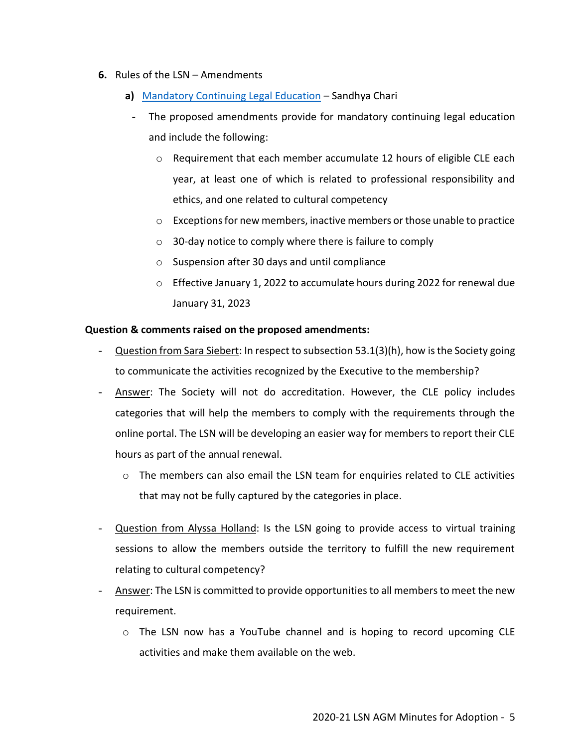- **6.** Rules of the LSN Amendments
	- **a)** [Mandatory Continuing Legal Education](https://www.lawsociety.nu.ca/sites/default/files/AGM/LSN%20AGM_Resolution%20B%20(CLE).pdf) Sandhya Chari
	- The proposed amendments provide for mandatory continuing legal education and include the following:
		- $\circ$  Requirement that each member accumulate 12 hours of eligible CLE each year, at least one of which is related to professional responsibility and ethics, and one related to cultural competency
		- $\circ$  Exceptions for new members, inactive members or those unable to practice
		- o 30-day notice to comply where there is failure to comply
		- o Suspension after 30 days and until compliance
		- o Effective January 1, 2022 to accumulate hours during 2022 for renewal due January 31, 2023

#### **Question & comments raised on the proposed amendments:**

- Question from Sara Siebert: In respect to subsection 53.1(3)(h), how is the Society going to communicate the activities recognized by the Executive to the membership?
- Answer: The Society will not do accreditation. However, the CLE policy includes categories that will help the members to comply with the requirements through the online portal. The LSN will be developing an easier way for members to report their CLE hours as part of the annual renewal.
	- $\circ$  The members can also email the LSN team for enquiries related to CLE activities that may not be fully captured by the categories in place.
- Question from Alyssa Holland: Is the LSN going to provide access to virtual training sessions to allow the members outside the territory to fulfill the new requirement relating to cultural competency?
- Answer: The LSN is committed to provide opportunities to all members to meet the new requirement.
	- o The LSN now has a YouTube channel and is hoping to record upcoming CLE activities and make them available on the web.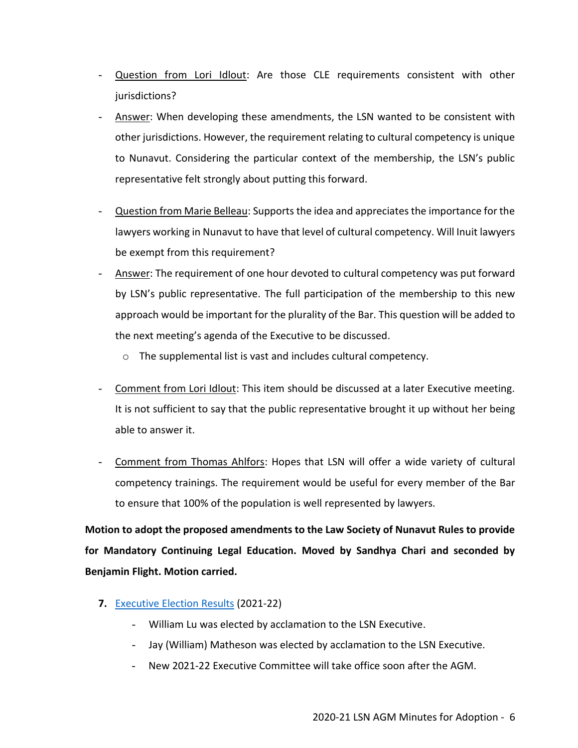- Question from Lori Idlout: Are those CLE requirements consistent with other jurisdictions?
- Answer: When developing these amendments, the LSN wanted to be consistent with other jurisdictions. However, the requirement relating to cultural competency is unique to Nunavut. Considering the particular context of the membership, the LSN's public representative felt strongly about putting this forward.
- Question from Marie Belleau: Supports the idea and appreciates the importance for the lawyers working in Nunavut to have that level of cultural competency. Will Inuit lawyers be exempt from this requirement?
- Answer: The requirement of one hour devoted to cultural competency was put forward by LSN's public representative. The full participation of the membership to this new approach would be important for the plurality of the Bar. This question will be added to the next meeting's agenda of the Executive to be discussed.
	- o The supplemental list is vast and includes cultural competency.
- Comment from Lori Idlout: This item should be discussed at a later Executive meeting. It is not sufficient to say that the public representative brought it up without her being able to answer it.
- Comment from Thomas Ahlfors: Hopes that LSN will offer a wide variety of cultural competency trainings. The requirement would be useful for every member of the Bar to ensure that 100% of the population is well represented by lawyers.

**Motion to adopt the proposed amendments to the Law Society of Nunavut Rules to provide for Mandatory Continuing Legal Education. Moved by Sandhya Chari and seconded by Benjamin Flight. Motion carried.**

- **7.** [Executive Election Results](https://www.lawsociety.nu.ca/en/news/2021-22-executive-election-results?language_content_entity=en) (2021-22)
	- William Lu was elected by acclamation to the LSN Executive.
	- Jay (William) Matheson was elected by acclamation to the LSN Executive.
	- New 2021-22 Executive Committee will take office soon after the AGM.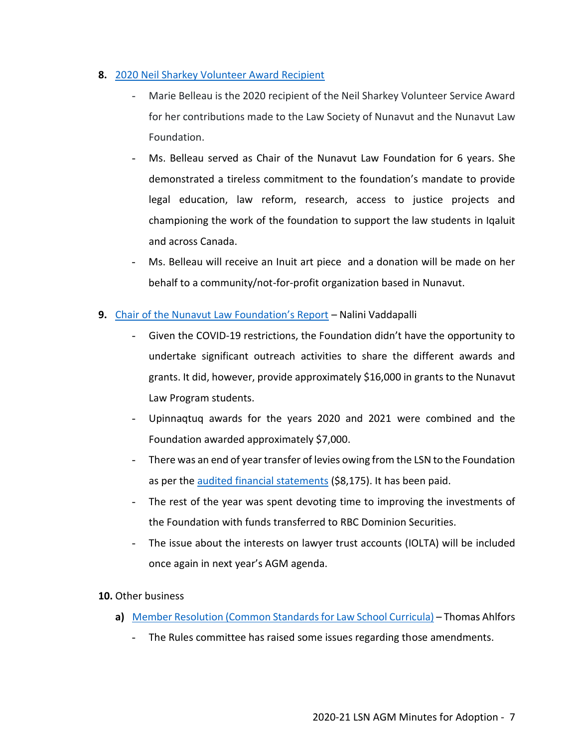## **8.** 2020 [Neil Sharkey Volunteer Award Recipient](https://www.lawsociety.nu.ca/sites/default/files/public/Newsletter_Polar_Barristers/fall_2021/LSN%20Polar%20Barrister%20Newsletter%20-%20Marie%20Belleau%20FINAL_web.pdf)

- Marie Belleau is the 2020 recipient of the Neil Sharkey Volunteer Service Award for her contributions made to the Law Society of Nunavut and the Nunavut Law Foundation.
- Ms. Belleau served as Chair of the Nunavut Law Foundation for 6 years. She demonstrated a tireless commitment to the foundation's mandate to provide legal education, law reform, research, access to justice projects and championing the work of the foundation to support the law students in Iqaluit and across Canada.
- Ms. Belleau will receive an Inuit art piece and a donation will be made on her behalf to a community/not-for-profit organization based in Nunavut.

## **9.** [Chair of the Nunavut Law Foundation's Report](https://www.lawsociety.nu.ca/sites/default/files/AGM/2020%20NU%20Law%20Foundation%20AGM%20Report%20Final%20v3.pdf) – Nalini Vaddapalli

- Given the COVID-19 restrictions, the Foundation didn't have the opportunity to undertake significant outreach activities to share the different awards and grants. It did, however, provide approximately \$16,000 in grants to the Nunavut Law Program students.
- Upinnaqtuq awards for the years 2020 and 2021 were combined and the Foundation awarded approximately \$7,000.
- There was an end of year transfer of levies owing from the LSN to the Foundation as per the [audited financial statements](https://www.nunavutlawfoundation.ca/wp-content/uploads/2021/08/NLF-FS-2020-Adopted-June-24-2021-SIgned.pdf) (\$8,175). It has been paid.
- The rest of the year was spent devoting time to improving the investments of the Foundation with funds transferred to RBC Dominion Securities.
- The issue about the interests on lawyer trust accounts (IOLTA) will be included once again in next year's AGM agenda.

### **10.** Other business

- **a)** Member Resolution [\(Common Standards for Law School Curricula\)](https://www.lawsociety.nu.ca/sites/default/files/AGM/LSN%20AGM%202020-21_Resolution%20A%20(Sine%20Die).pdf) Thomas Ahlfors
	- The Rules committee has raised some issues regarding those amendments.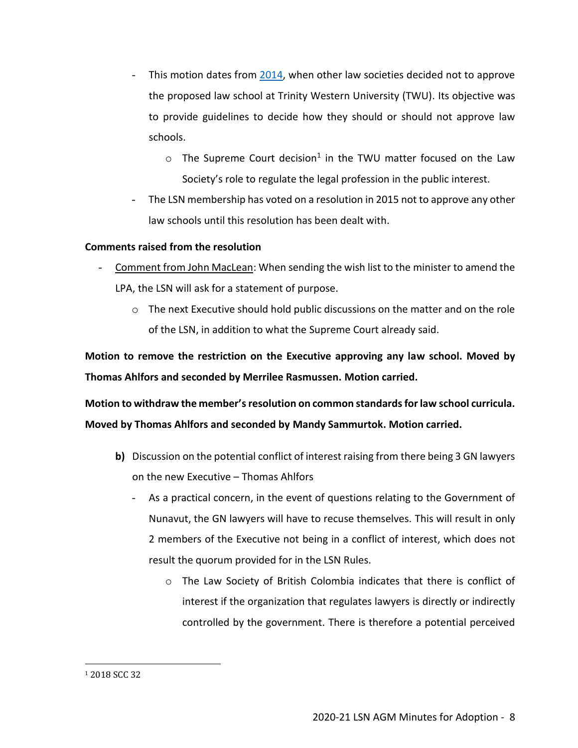- This motion dates from [2014,](https://www.lawsociety.nu.ca/sites/default/files/AGM/LSN%20AGM%202020-21_Resolution%20A_LSN%202013-14%20AGM%20Minutes%20(Excerpt).pdf) when other law societies decided not to approve the proposed law school at Trinity Western University (TWU). Its objective was to provide guidelines to decide how they should or should not approve law schools.
	- $\circ$  The Supreme Court decision<sup>1</sup> in the TWU matter focused on the Law Society's role to regulate the legal profession in the public interest.
- The LSN membership has voted on a resolution in 2015 not to approve any other law schools until this resolution has been dealt with.

## **Comments raised from the resolution**

- Comment from John MacLean: When sending the wish list to the minister to amend the LPA, the LSN will ask for a statement of purpose.
	- o The next Executive should hold public discussions on the matter and on the role of the LSN, in addition to what the Supreme Court already said.

**Motion to remove the restriction on the Executive approving any law school. Moved by Thomas Ahlfors and seconded by Merrilee Rasmussen. Motion carried.**

**Motion to withdraw the member'sresolution on common standards for law school curricula. Moved by Thomas Ahlfors and seconded by Mandy Sammurtok. Motion carried.**

- **b)** Discussion on the potential conflict of interest raising from there being 3 GN lawyers on the new Executive – Thomas Ahlfors
	- As a practical concern, in the event of questions relating to the Government of Nunavut, the GN lawyers will have to recuse themselves. This will result in only 2 members of the Executive not being in a conflict of interest, which does not result the quorum provided for in the LSN Rules.
		- o The Law Society of British Colombia indicates that there is conflict of interest if the organization that regulates lawyers is directly or indirectly controlled by the government. There is therefore a potential perceived

<sup>1</sup> 2018 SCC 32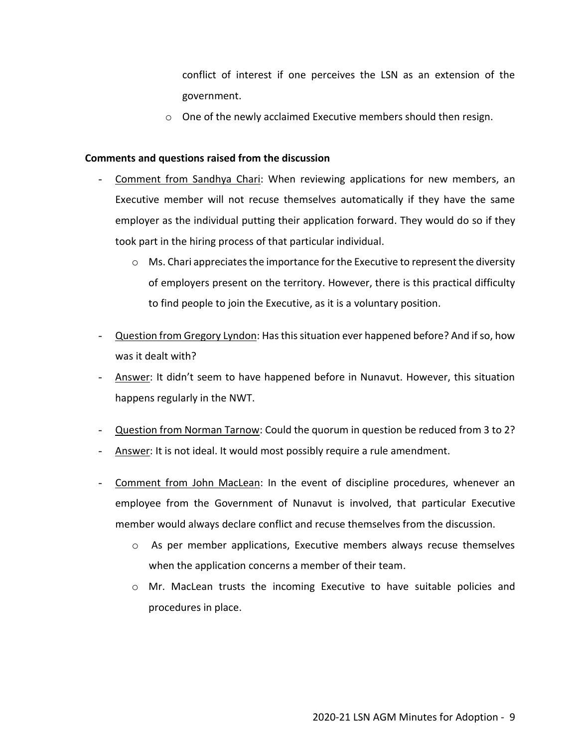conflict of interest if one perceives the LSN as an extension of the government.

o One of the newly acclaimed Executive members should then resign.

#### **Comments and questions raised from the discussion**

- Comment from Sandhya Chari: When reviewing applications for new members, an Executive member will not recuse themselves automatically if they have the same employer as the individual putting their application forward. They would do so if they took part in the hiring process of that particular individual.
	- $\circ$  Ms. Chari appreciates the importance for the Executive to represent the diversity of employers present on the territory. However, there is this practical difficulty to find people to join the Executive, as it is a voluntary position.
- Question from Gregory Lyndon: Has this situation ever happened before? And if so, how was it dealt with?
- Answer: It didn't seem to have happened before in Nunavut. However, this situation happens regularly in the NWT.
- Question from Norman Tarnow: Could the quorum in question be reduced from 3 to 2?
- Answer: It is not ideal. It would most possibly require a rule amendment.
- Comment from John MacLean: In the event of discipline procedures, whenever an employee from the Government of Nunavut is involved, that particular Executive member would always declare conflict and recuse themselves from the discussion.
	- o As per member applications, Executive members always recuse themselves when the application concerns a member of their team.
	- o Mr. MacLean trusts the incoming Executive to have suitable policies and procedures in place.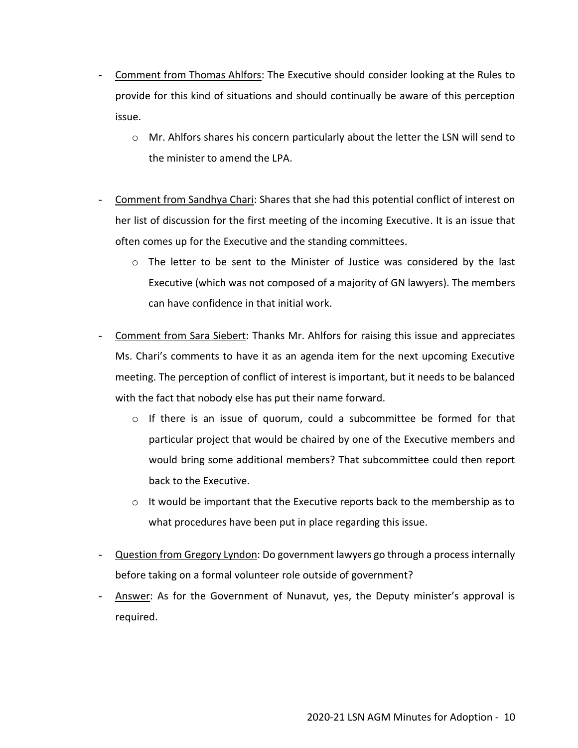- Comment from Thomas Ahlfors: The Executive should consider looking at the Rules to provide for this kind of situations and should continually be aware of this perception issue.
	- o Mr. Ahlfors shares his concern particularly about the letter the LSN will send to the minister to amend the LPA.
- Comment from Sandhya Chari: Shares that she had this potential conflict of interest on her list of discussion for the first meeting of the incoming Executive. It is an issue that often comes up for the Executive and the standing committees.
	- o The letter to be sent to the Minister of Justice was considered by the last Executive (which was not composed of a majority of GN lawyers). The members can have confidence in that initial work.
- Comment from Sara Siebert: Thanks Mr. Ahlfors for raising this issue and appreciates Ms. Chari's comments to have it as an agenda item for the next upcoming Executive meeting. The perception of conflict of interest is important, but it needs to be balanced with the fact that nobody else has put their name forward.
	- o If there is an issue of quorum, could a subcommittee be formed for that particular project that would be chaired by one of the Executive members and would bring some additional members? That subcommittee could then report back to the Executive.
	- $\circ$  It would be important that the Executive reports back to the membership as to what procedures have been put in place regarding this issue.
- Question from Gregory Lyndon: Do government lawyers go through a process internally before taking on a formal volunteer role outside of government?
- Answer: As for the Government of Nunavut, yes, the Deputy minister's approval is required.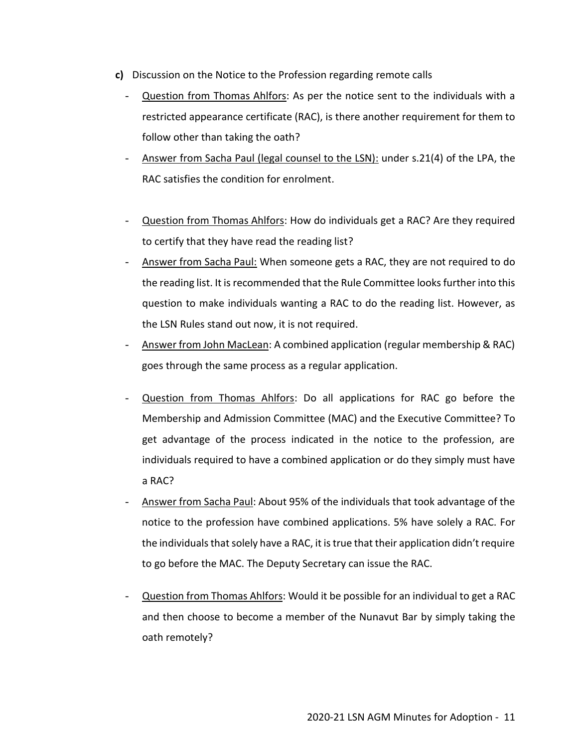- **c)** Discussion on the Notice to the Profession regarding remote calls
	- Question from Thomas Ahlfors: As per the notice sent to the individuals with a restricted appearance certificate (RAC), is there another requirement for them to follow other than taking the oath?
	- Answer from Sacha Paul (legal counsel to the LSN): under s.21(4) of the LPA, the RAC satisfies the condition for enrolment.
	- Question from Thomas Ahlfors: How do individuals get a RAC? Are they required to certify that they have read the reading list?
	- Answer from Sacha Paul: When someone gets a RAC, they are not required to do the reading list. It is recommended that the Rule Committee looks further into this question to make individuals wanting a RAC to do the reading list. However, as the LSN Rules stand out now, it is not required.
	- Answer from John MacLean: A combined application (regular membership & RAC) goes through the same process as a regular application.
	- Question from Thomas Ahlfors: Do all applications for RAC go before the Membership and Admission Committee (MAC) and the Executive Committee? To get advantage of the process indicated in the notice to the profession, are individuals required to have a combined application or do they simply must have a RAC?
	- Answer from Sacha Paul: About 95% of the individuals that took advantage of the notice to the profession have combined applications. 5% have solely a RAC. For the individuals that solely have a RAC, it is true that their application didn't require to go before the MAC. The Deputy Secretary can issue the RAC.
	- Question from Thomas Ahlfors: Would it be possible for an individual to get a RAC and then choose to become a member of the Nunavut Bar by simply taking the oath remotely?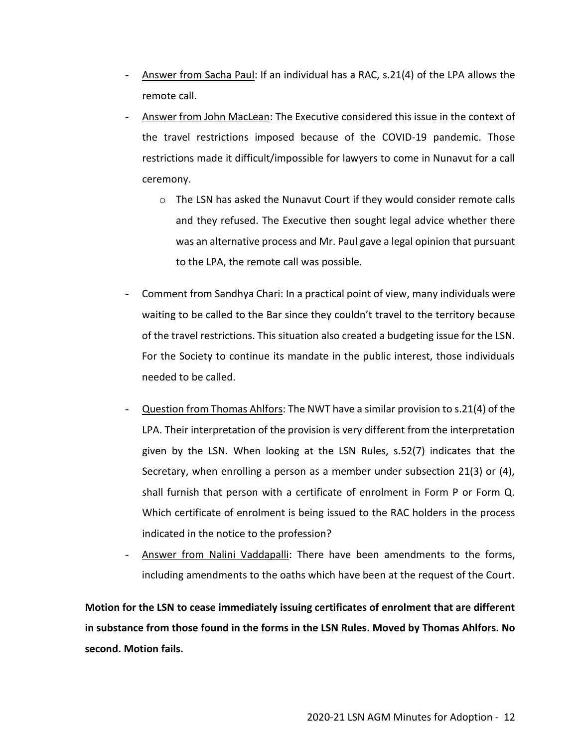- Answer from Sacha Paul: If an individual has a RAC, s.21(4) of the LPA allows the remote call.
- Answer from John MacLean: The Executive considered this issue in the context of the travel restrictions imposed because of the COVID-19 pandemic. Those restrictions made it difficult/impossible for lawyers to come in Nunavut for a call ceremony.
	- $\circ$  The LSN has asked the Nunavut Court if they would consider remote calls and they refused. The Executive then sought legal advice whether there was an alternative process and Mr. Paul gave a legal opinion that pursuant to the LPA, the remote call was possible.
- Comment from Sandhya Chari: In a practical point of view, many individuals were waiting to be called to the Bar since they couldn't travel to the territory because of the travel restrictions. This situation also created a budgeting issue for the LSN. For the Society to continue its mandate in the public interest, those individuals needed to be called.
- Question from Thomas Ahlfors: The NWT have a similar provision to s.21(4) of the LPA. Their interpretation of the provision is very different from the interpretation given by the LSN. When looking at the LSN Rules, s.52(7) indicates that the Secretary, when enrolling a person as a member under subsection 21(3) or (4), shall furnish that person with a certificate of enrolment in Form P or Form Q. Which certificate of enrolment is being issued to the RAC holders in the process indicated in the notice to the profession?
- Answer from Nalini Vaddapalli: There have been amendments to the forms, including amendments to the oaths which have been at the request of the Court.

**Motion for the LSN to cease immediately issuing certificates of enrolment that are different in substance from those found in the forms in the LSN Rules. Moved by Thomas Ahlfors. No second. Motion fails.**